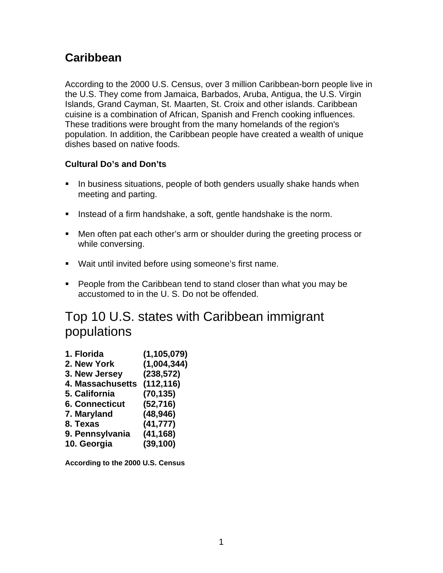# **Caribbean**

According to the 2000 U.S. Census, over 3 million Caribbean-born people live in the U.S. They come from Jamaica, Barbados, Aruba, Antigua, the U.S. Virgin Islands, Grand Cayman, St. Maarten, St. Croix and other islands. Caribbean cuisine is a combination of African, Spanish and French cooking influences. These traditions were brought from the many homelands of the region's population. In addition, the Caribbean people have created a wealth of unique dishes based on native foods.

# **Cultural Do's and Don'ts**

- In business situations, people of both genders usually shake hands when meeting and parting.
- Instead of a firm handshake, a soft, gentle handshake is the norm.
- Men often pat each other's arm or shoulder during the greeting process or while conversing.
- Wait until invited before using someone's first name.
- **People from the Caribbean tend to stand closer than what you may be** accustomed to in the U. S. Do not be offended.

# Top 10 U.S. states with Caribbean immigrant populations

| 1. Florida            | (1, 105, 079) |
|-----------------------|---------------|
| 2. New York           | (1,004,344)   |
| 3. New Jersey         | (238, 572)    |
| 4. Massachusetts      | (112, 116)    |
| 5. California         | (70, 135)     |
| <b>6. Connecticut</b> | (52, 716)     |
| 7. Maryland           | (48, 946)     |
| 8. Texas              | (41, 777)     |
| 9. Pennsylvania       | (41, 168)     |
| 10. Georgia           | (39, 100)     |
|                       |               |

**According to the 2000 U.S. Census**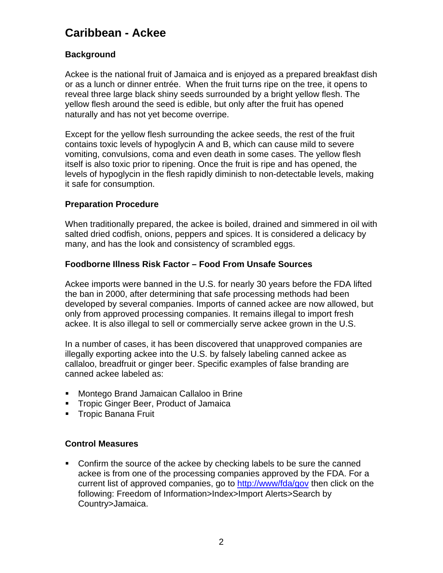# **Caribbean - Ackee**

# **Background**

Ackee is the national fruit of Jamaica and is enjoyed as a prepared breakfast dish or as a lunch or dinner entrée. When the fruit turns ripe on the tree, it opens to reveal three large black shiny seeds surrounded by a bright yellow flesh. The yellow flesh around the seed is edible, but only after the fruit has opened naturally and has not yet become overripe.

Except for the yellow flesh surrounding the ackee seeds, the rest of the fruit contains toxic levels of hypoglycin A and B, which can cause mild to severe vomiting, convulsions, coma and even death in some cases. The yellow flesh itself is also toxic prior to ripening. Once the fruit is ripe and has opened, the levels of hypoglycin in the flesh rapidly diminish to non-detectable levels, making it safe for consumption.

### **Preparation Procedure**

When traditionally prepared, the ackee is boiled, drained and simmered in oil with salted dried codfish, onions, peppers and spices. It is considered a delicacy by many, and has the look and consistency of scrambled eggs.

### **Foodborne Illness Risk Factor – Food From Unsafe Sources**

Ackee imports were banned in the U.S. for nearly 30 years before the FDA lifted the ban in 2000, after determining that safe processing methods had been developed by several companies. Imports of canned ackee are now allowed, but only from approved processing companies. It remains illegal to import fresh ackee. It is also illegal to sell or commercially serve ackee grown in the U.S.

In a number of cases, it has been discovered that unapproved companies are illegally exporting ackee into the U.S. by falsely labeling canned ackee as callaloo, breadfruit or ginger beer. Specific examples of false branding are canned ackee labeled as:

- **Montego Brand Jamaican Callaloo in Brine**
- **Tropic Ginger Beer, Product of Jamaica**
- **Tropic Banana Fruit**

# **Control Measures**

 Confirm the source of the ackee by checking labels to be sure the canned ackee is from one of the processing companies approved by the FDA. For a current list of approved companies, go to<http://www/fda/gov>then click on the following: Freedom of Information>Index>Import Alerts>Search by Country>Jamaica.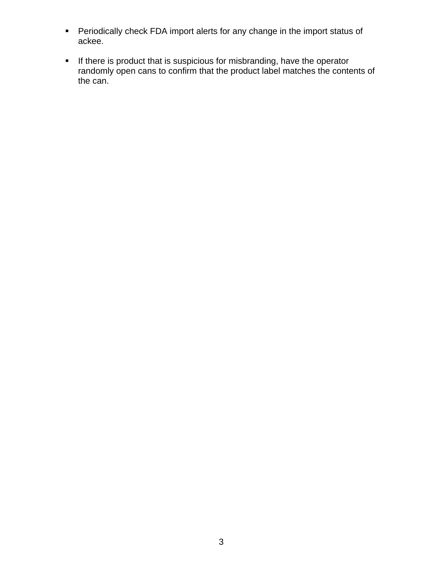- Periodically check FDA import alerts for any change in the import status of ackee.
- **If there is product that is suspicious for misbranding, have the operator** randomly open cans to confirm that the product label matches the contents of the can.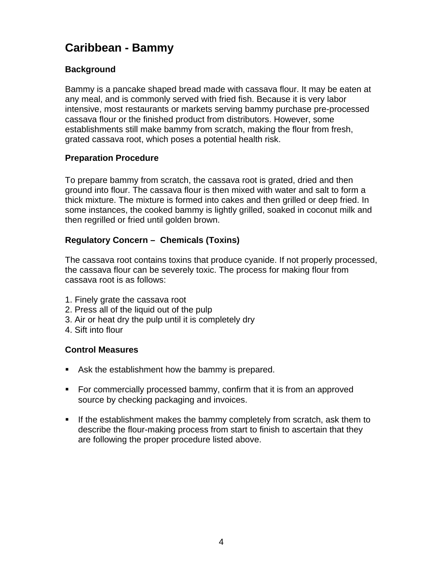# **Caribbean - Bammy**

# **Background**

Bammy is a pancake shaped bread made with cassava flour. It may be eaten at any meal, and is commonly served with fried fish. Because it is very labor intensive, most restaurants or markets serving bammy purchase pre-processed cassava flour or the finished product from distributors. However, some establishments still make bammy from scratch, making the flour from fresh, grated cassava root, which poses a potential health risk.

# **Preparation Procedure**

To prepare bammy from scratch, the cassava root is grated, dried and then ground into flour. The cassava flour is then mixed with water and salt to form a thick mixture. The mixture is formed into cakes and then grilled or deep fried. In some instances, the cooked bammy is lightly grilled, soaked in coconut milk and then regrilled or fried until golden brown.

# **Regulatory Concern – Chemicals (Toxins)**

The cassava root contains toxins that produce cyanide. If not properly processed, the cassava flour can be severely toxic. The process for making flour from cassava root is as follows:

- 1. Finely grate the cassava root
- 2. Press all of the liquid out of the pulp
- 3. Air or heat dry the pulp until it is completely dry
- 4. Sift into flour

- Ask the establishment how the bammy is prepared.
- **FORE COMMERGIGHT STATE:** For commercially processed bammy, confirm that it is from an approved source by checking packaging and invoices.
- If the establishment makes the bammy completely from scratch, ask them to describe the flour-making process from start to finish to ascertain that they are following the proper procedure listed above.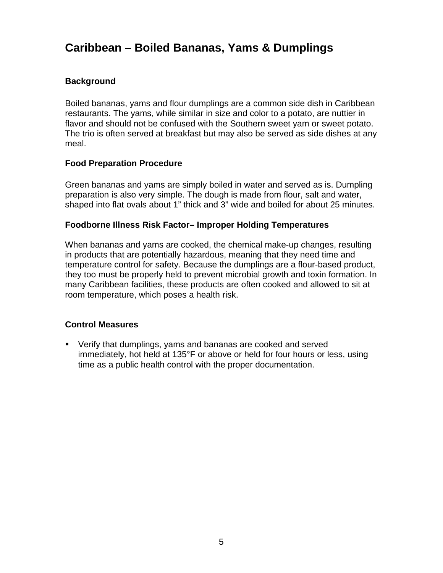# **Caribbean – Boiled Bananas, Yams & Dumplings**

# **Background**

Boiled bananas, yams and flour dumplings are a common side dish in Caribbean restaurants. The yams, while similar in size and color to a potato, are nuttier in flavor and should not be confused with the Southern sweet yam or sweet potato. The trio is often served at breakfast but may also be served as side dishes at any meal.

### **Food Preparation Procedure**

Green bananas and yams are simply boiled in water and served as is. Dumpling preparation is also very simple. The dough is made from flour, salt and water, shaped into flat ovals about 1" thick and 3" wide and boiled for about 25 minutes.

#### **Foodborne Illness Risk Factor– Improper Holding Temperatures**

When bananas and yams are cooked, the chemical make-up changes, resulting in products that are potentially hazardous, meaning that they need time and temperature control for safety. Because the dumplings are a flour-based product, they too must be properly held to prevent microbial growth and toxin formation. In many Caribbean facilities, these products are often cooked and allowed to sit at room temperature, which poses a health risk.

#### **Control Measures**

 Verify that dumplings, yams and bananas are cooked and served immediately, hot held at 135°F or above or held for four hours or less, using time as a public health control with the proper documentation.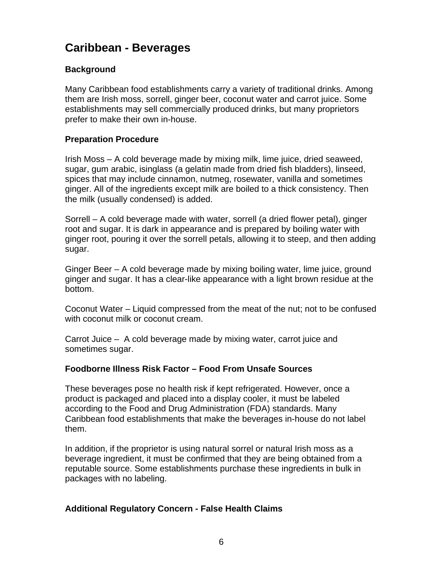# **Caribbean - Beverages**

# **Background**

Many Caribbean food establishments carry a variety of traditional drinks. Among them are Irish moss, sorrell, ginger beer, coconut water and carrot juice. Some establishments may sell commercially produced drinks, but many proprietors prefer to make their own in-house.

### **Preparation Procedure**

Irish Moss – A cold beverage made by mixing milk, lime juice, dried seaweed, sugar, gum arabic, isinglass (a gelatin made from dried fish bladders), linseed, spices that may include cinnamon, nutmeg, rosewater, vanilla and sometimes ginger. All of the ingredients except milk are boiled to a thick consistency. Then the milk (usually condensed) is added.

Sorrell – A cold beverage made with water, sorrell (a dried flower petal), ginger root and sugar. It is dark in appearance and is prepared by boiling water with ginger root, pouring it over the sorrell petals, allowing it to steep, and then adding sugar.

Ginger Beer – A cold beverage made by mixing boiling water, lime juice, ground ginger and sugar. It has a clear-like appearance with a light brown residue at the bottom.

Coconut Water – Liquid compressed from the meat of the nut; not to be confused with coconut milk or coconut cream.

Carrot Juice – A cold beverage made by mixing water, carrot juice and sometimes sugar.

#### **Foodborne Illness Risk Factor – Food From Unsafe Sources**

These beverages pose no health risk if kept refrigerated. However, once a product is packaged and placed into a display cooler, it must be labeled according to the Food and Drug Administration (FDA) standards. Many Caribbean food establishments that make the beverages in-house do not label them.

In addition, if the proprietor is using natural sorrel or natural Irish moss as a beverage ingredient, it must be confirmed that they are being obtained from a reputable source. Some establishments purchase these ingredients in bulk in packages with no labeling.

# **Additional Regulatory Concern - False Health Claims**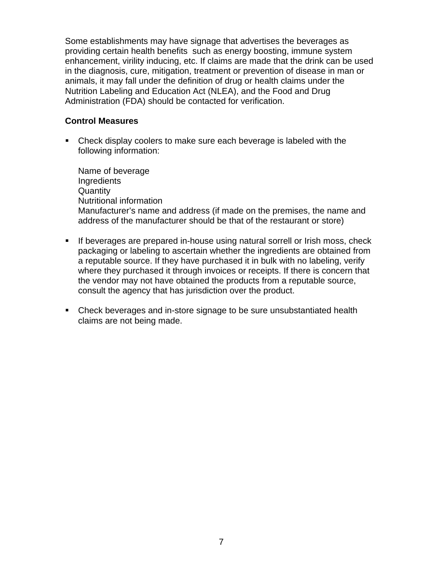Some establishments may have signage that advertises the beverages as providing certain health benefits such as energy boosting, immune system enhancement, virility inducing, etc. If claims are made that the drink can be used in the diagnosis, cure, mitigation, treatment or prevention of disease in man or animals, it may fall under the definition of drug or health claims under the Nutrition Labeling and Education Act (NLEA), and the Food and Drug Administration (FDA) should be contacted for verification.

#### **Control Measures**

 Check display coolers to make sure each beverage is labeled with the following information:

Name of beverage **Ingredients Quantity** Nutritional information Manufacturer's name and address (if made on the premises, the name and address of the manufacturer should be that of the restaurant or store)

- **If beverages are prepared in-house using natural sorrell or Irish moss, check** packaging or labeling to ascertain whether the ingredients are obtained from a reputable source. If they have purchased it in bulk with no labeling, verify where they purchased it through invoices or receipts. If there is concern that the vendor may not have obtained the products from a reputable source, consult the agency that has jurisdiction over the product.
- Check beverages and in-store signage to be sure unsubstantiated health claims are not being made.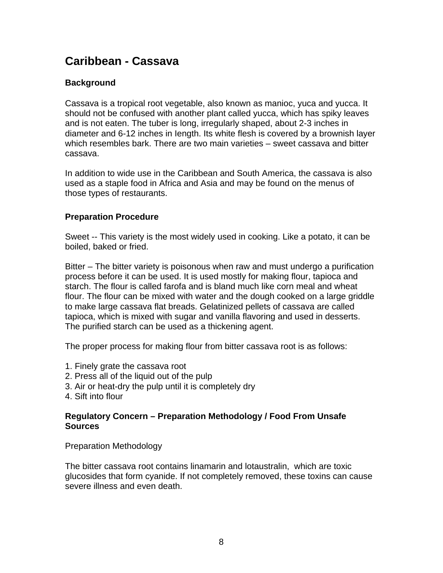# **Caribbean - Cassava**

# **Background**

Cassava is a tropical root vegetable, also known as manioc, yuca and yucca. It should not be confused with another plant called yucca, which has spiky leaves and is not eaten. The tuber is long, irregularly shaped, about 2-3 inches in diameter and 6-12 inches in Iength. Its white flesh is covered by a brownish layer which resembles bark. There are two main varieties – sweet cassava and bitter cassava.

In addition to wide use in the Caribbean and South America, the cassava is also used as a staple food in Africa and Asia and may be found on the menus of those types of restaurants.

#### **Preparation Procedure**

Sweet -- This variety is the most widely used in cooking. Like a potato, it can be boiled, baked or fried.

Bitter – The bitter variety is poisonous when raw and must undergo a purification process before it can be used. It is used mostly for making flour, tapioca and starch. The flour is called farofa and is bland much like corn meal and wheat flour. The flour can be mixed with water and the dough cooked on a large griddle to make large cassava flat breads. Gelatinized pellets of cassava are called tapioca, which is mixed with sugar and vanilla flavoring and used in desserts. The purified starch can be used as a thickening agent.

The proper process for making flour from bitter cassava root is as follows:

- 1. Finely grate the cassava root
- 2. Press all of the liquid out of the pulp
- 3. Air or heat-dry the pulp until it is completely dry
- 4. Sift into flour

#### **Regulatory Concern – Preparation Methodology / Food From Unsafe Sources**

Preparation Methodology

The bitter cassava root contains linamarin and lotaustralin, which are toxic glucosides that form cyanide. If not completely removed, these toxins can cause severe illness and even death.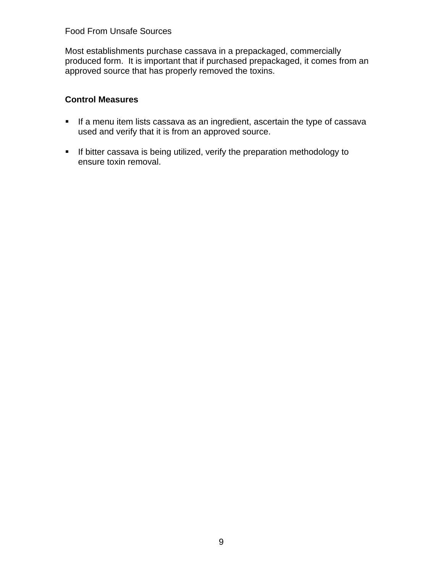# Food From Unsafe Sources

Most establishments purchase cassava in a prepackaged, commercially produced form. It is important that if purchased prepackaged, it comes from an approved source that has properly removed the toxins.

- **If a menu item lists cassava as an ingredient, ascertain the type of cassava** used and verify that it is from an approved source.
- **If bitter cassava is being utilized, verify the preparation methodology to** ensure toxin removal.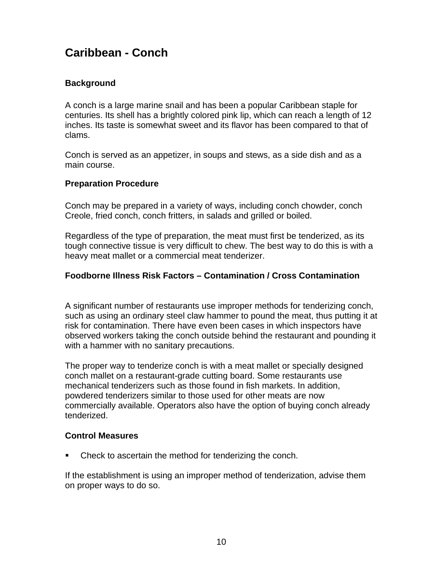# **Caribbean - Conch**

# **Background**

A conch is a large marine snail and has been a popular Caribbean staple for centuries. Its shell has a brightly colored pink lip, which can reach a length of 12 inches. Its taste is somewhat sweet and its flavor has been compared to that of clams.

Conch is served as an appetizer, in soups and stews, as a side dish and as a main course.

### **Preparation Procedure**

Conch may be prepared in a variety of ways, including conch chowder, conch Creole, fried conch, conch fritters, in salads and grilled or boiled.

Regardless of the type of preparation, the meat must first be tenderized, as its tough connective tissue is very difficult to chew. The best way to do this is with a heavy meat mallet or a commercial meat tenderizer.

### **Foodborne Illness Risk Factors – Contamination / Cross Contamination**

A significant number of restaurants use improper methods for tenderizing conch, such as using an ordinary steel claw hammer to pound the meat, thus putting it at risk for contamination. There have even been cases in which inspectors have observed workers taking the conch outside behind the restaurant and pounding it with a hammer with no sanitary precautions.

The proper way to tenderize conch is with a meat mallet or specially designed conch mallet on a restaurant-grade cutting board. Some restaurants use mechanical tenderizers such as those found in fish markets. In addition, powdered tenderizers similar to those used for other meats are now commercially available. Operators also have the option of buying conch already tenderized.

#### **Control Measures**

• Check to ascertain the method for tenderizing the conch.

If the establishment is using an improper method of tenderization, advise them on proper ways to do so.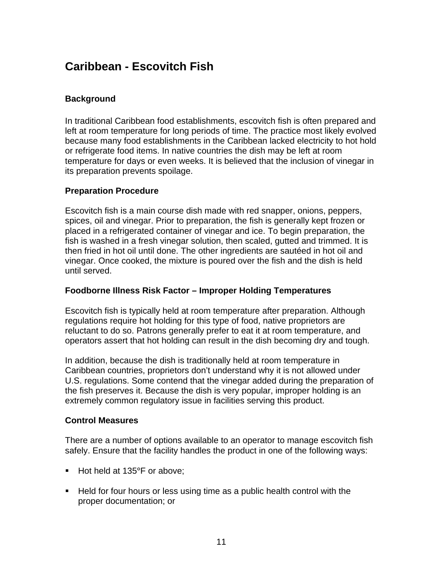# **Caribbean - Escovitch Fish**

# **Background**

In traditional Caribbean food establishments, escovitch fish is often prepared and left at room temperature for long periods of time. The practice most likely evolved because many food establishments in the Caribbean lacked electricity to hot hold or refrigerate food items. In native countries the dish may be left at room temperature for days or even weeks. It is believed that the inclusion of vinegar in its preparation prevents spoilage.

# **Preparation Procedure**

Escovitch fish is a main course dish made with red snapper, onions, peppers, spices, oil and vinegar. Prior to preparation, the fish is generally kept frozen or placed in a refrigerated container of vinegar and ice. To begin preparation, the fish is washed in a fresh vinegar solution, then scaled, gutted and trimmed. It is then fried in hot oil until done. The other ingredients are sautéed in hot oil and vinegar. Once cooked, the mixture is poured over the fish and the dish is held until served.

#### **Foodborne Illness Risk Factor – Improper Holding Temperatures**

Escovitch fish is typically held at room temperature after preparation. Although regulations require hot holding for this type of food, native proprietors are reluctant to do so. Patrons generally prefer to eat it at room temperature, and operators assert that hot holding can result in the dish becoming dry and tough.

In addition, because the dish is traditionally held at room temperature in Caribbean countries, proprietors don't understand why it is not allowed under U.S. regulations. Some contend that the vinegar added during the preparation of the fish preserves it. Because the dish is very popular, improper holding is an extremely common regulatory issue in facilities serving this product.

#### **Control Measures**

There are a number of options available to an operator to manage escovitch fish safely. Ensure that the facility handles the product in one of the following ways:

- Hot held at 135°F or above;
- Held for four hours or less using time as a public health control with the proper documentation; or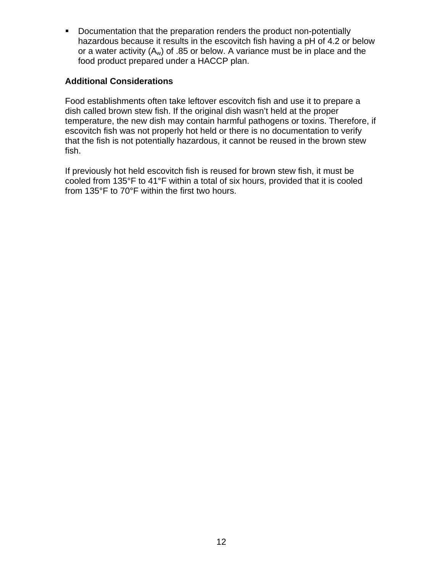**Documentation that the preparation renders the product non-potentially** hazardous because it results in the escovitch fish having a pH of 4.2 or below or a water activity  $(A_w)$  of .85 or below. A variance must be in place and the food product prepared under a HACCP plan.

# **Additional Considerations**

Food establishments often take leftover escovitch fish and use it to prepare a dish called brown stew fish. If the original dish wasn't held at the proper temperature, the new dish may contain harmful pathogens or toxins. Therefore, if escovitch fish was not properly hot held or there is no documentation to verify that the fish is not potentially hazardous, it cannot be reused in the brown stew fish.

If previously hot held escovitch fish is reused for brown stew fish, it must be cooled from 135°F to 41°F within a total of six hours, provided that it is cooled from 135°F to 70°F within the first two hours.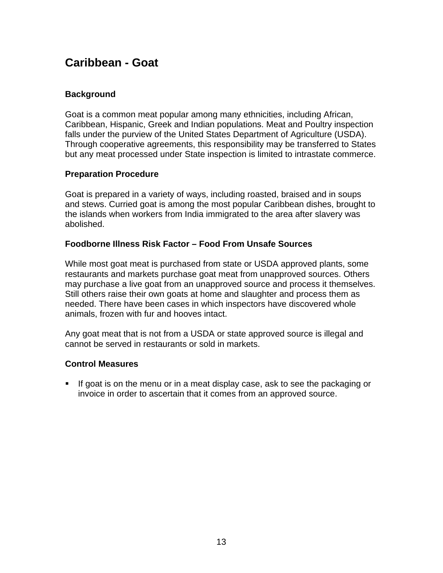# **Caribbean - Goat**

# **Background**

Goat is a common meat popular among many ethnicities, including African, Caribbean, Hispanic, Greek and Indian populations. Meat and Poultry inspection falls under the purview of the United States Department of Agriculture (USDA). Through cooperative agreements, this responsibility may be transferred to States but any meat processed under State inspection is limited to intrastate commerce.

### **Preparation Procedure**

Goat is prepared in a variety of ways, including roasted, braised and in soups and stews. Curried goat is among the most popular Caribbean dishes, brought to the islands when workers from India immigrated to the area after slavery was abolished.

### **Foodborne Illness Risk Factor – Food From Unsafe Sources**

While most goat meat is purchased from state or USDA approved plants, some restaurants and markets purchase goat meat from unapproved sources. Others may purchase a live goat from an unapproved source and process it themselves. Still others raise their own goats at home and slaughter and process them as needed. There have been cases in which inspectors have discovered whole animals, frozen with fur and hooves intact.

Any goat meat that is not from a USDA or state approved source is illegal and cannot be served in restaurants or sold in markets.

#### **Control Measures**

 If goat is on the menu or in a meat display case, ask to see the packaging or invoice in order to ascertain that it comes from an approved source.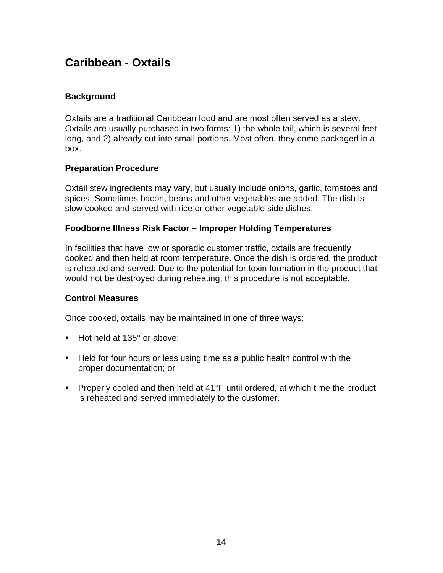# **Caribbean - Oxtails**

# **Background**

Oxtails are a traditional Caribbean food and are most often served as a stew. Oxtails are usually purchased in two forms: 1) the whole tail, which is several feet long, and 2) already cut into small portions. Most often, they come packaged in a box.

#### **Preparation Procedure**

Oxtail stew ingredients may vary, but usually include onions, garlic, tomatoes and spices. Sometimes bacon, beans and other vegetables are added. The dish is slow cooked and served with rice or other vegetable side dishes.

#### **Foodborne Illness Risk Factor – Improper Holding Temperatures**

In facilities that have low or sporadic customer traffic, oxtails are frequently cooked and then held at room temperature. Once the dish is ordered, the product is reheated and served. Due to the potential for toxin formation in the product that would not be destroyed during reheating, this procedure is not acceptable.

#### **Control Measures**

Once cooked, oxtails may be maintained in one of three ways:

- Hot held at 135° or above;
- Held for four hours or less using time as a public health control with the proper documentation; or
- Properly cooled and then held at 41<sup>°</sup>F until ordered, at which time the product is reheated and served immediately to the customer.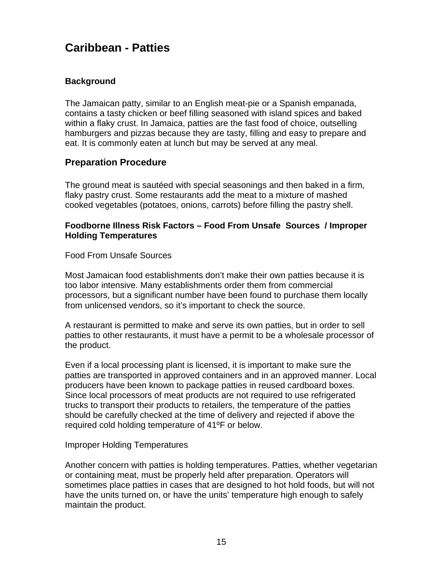# **Caribbean - Patties**

# **Background**

The Jamaican patty, similar to an English meat-pie or a Spanish empanada, contains a tasty chicken or beef filling seasoned with island spices and baked within a flaky crust. In Jamaica, patties are the fast food of choice, outselling hamburgers and pizzas because they are tasty, filling and easy to prepare and eat. It is commonly eaten at lunch but may be served at any meal.

# **Preparation Procedure**

The ground meat is sautéed with special seasonings and then baked in a firm, flaky pastry crust. Some restaurants add the meat to a mixture of mashed cooked vegetables (potatoes, onions, carrots) before filling the pastry shell.

#### **Foodborne Illness Risk Factors – Food From Unsafe Sources / Improper Holding Temperatures**

Food From Unsafe Sources

Most Jamaican food establishments don't make their own patties because it is too labor intensive. Many establishments order them from commercial processors, but a significant number have been found to purchase them locally from unlicensed vendors, so it's important to check the source.

A restaurant is permitted to make and serve its own patties, but in order to sell patties to other restaurants, it must have a permit to be a wholesale processor of the product.

Even if a local processing plant is licensed, it is important to make sure the patties are transported in approved containers and in an approved manner. Local producers have been known to package patties in reused cardboard boxes. Since local processors of meat products are not required to use refrigerated trucks to transport their products to retailers, the temperature of the patties should be carefully checked at the time of delivery and rejected if above the required cold holding temperature of 41ºF or below.

#### Improper Holding Temperatures

Another concern with patties is holding temperatures. Patties, whether vegetarian or containing meat, must be properly held after preparation. Operators will sometimes place patties in cases that are designed to hot hold foods, but will not have the units turned on, or have the units' temperature high enough to safely maintain the product.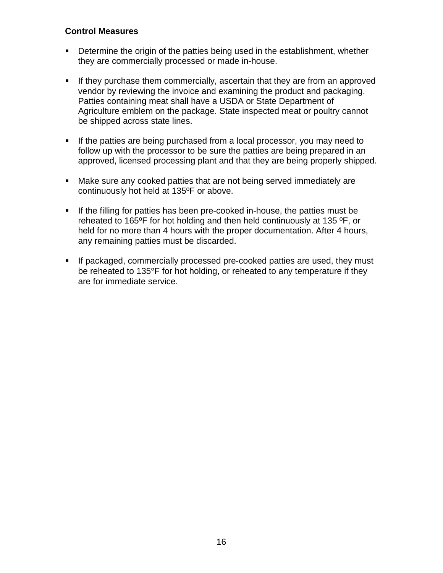- **Determine the origin of the patties being used in the establishment, whether** they are commercially processed or made in-house.
- If they purchase them commercially, ascertain that they are from an approved vendor by reviewing the invoice and examining the product and packaging. Patties containing meat shall have a USDA or State Department of Agriculture emblem on the package. State inspected meat or poultry cannot be shipped across state lines.
- **If the patties are being purchased from a local processor, you may need to** follow up with the processor to be sure the patties are being prepared in an approved, licensed processing plant and that they are being properly shipped.
- Make sure any cooked patties that are not being served immediately are continuously hot held at 135ºF or above.
- **If the filling for patties has been pre-cooked in-house, the patties must be** reheated to 165ºF for hot holding and then held continuously at 135 ºF, or held for no more than 4 hours with the proper documentation. After 4 hours, any remaining patties must be discarded.
- If packaged, commercially processed pre-cooked patties are used, they must be reheated to 135°F for hot holding, or reheated to any temperature if they are for immediate service.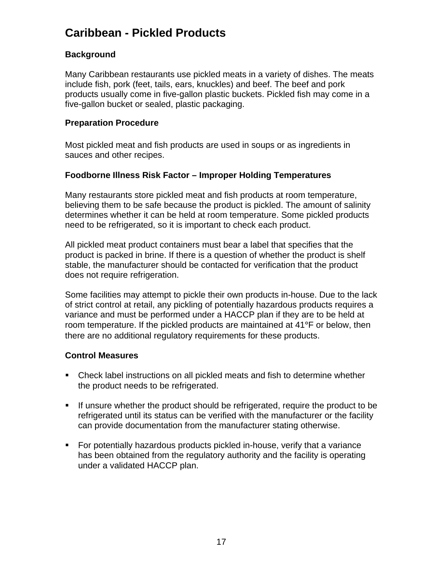# **Caribbean - Pickled Products**

# **Background**

Many Caribbean restaurants use pickled meats in a variety of dishes. The meats include fish, pork (feet, tails, ears, knuckles) and beef. The beef and pork products usually come in five-gallon plastic buckets. Pickled fish may come in a five-gallon bucket or sealed, plastic packaging.

#### **Preparation Procedure**

Most pickled meat and fish products are used in soups or as ingredients in sauces and other recipes.

# **Foodborne Illness Risk Factor – Improper Holding Temperatures**

Many restaurants store pickled meat and fish products at room temperature, believing them to be safe because the product is pickled. The amount of salinity determines whether it can be held at room temperature. Some pickled products need to be refrigerated, so it is important to check each product.

All pickled meat product containers must bear a label that specifies that the product is packed in brine. If there is a question of whether the product is shelf stable, the manufacturer should be contacted for verification that the product does not require refrigeration.

Some facilities may attempt to pickle their own products in-house. Due to the lack of strict control at retail, any pickling of potentially hazardous products requires a variance and must be performed under a HACCP plan if they are to be held at room temperature. If the pickled products are maintained at 41°F or below, then there are no additional regulatory requirements for these products.

- Check label instructions on all pickled meats and fish to determine whether the product needs to be refrigerated.
- If unsure whether the product should be refrigerated, require the product to be refrigerated until its status can be verified with the manufacturer or the facility can provide documentation from the manufacturer stating otherwise.
- For potentially hazardous products pickled in-house, verify that a variance has been obtained from the regulatory authority and the facility is operating under a validated HACCP plan.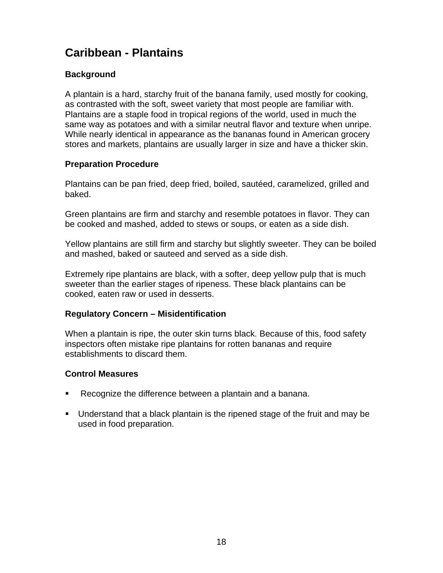# **Caribbean - Plantains**

# **Background**

A plantain is a hard, starchy fruit of the banana family, used mostly for cooking, as contrasted with the soft, sweet variety that most people are familiar with. Plantains are a staple food in tropical regions of the world, used in much the same way as potatoes and with a similar neutral flavor and texture when unripe. While nearly identical in appearance as the bananas found in American grocery stores and markets, plantains are usually larger in size and have a thicker skin.

# **Preparation Procedure**

Plantains can be pan fried, deep fried, boiled, sautéed, caramelized, grilled and baked.

Green plantains are firm and starchy and resemble potatoes in flavor. They can be cooked and mashed, added to stews or soups, or eaten as a side dish.

Yellow plantains are still firm and starchy but slightly sweeter. They can be boiled and mashed, baked or sauteed and served as a side dish.

Extremely ripe plantains are black, with a softer, deep yellow pulp that is much sweeter than the earlier stages of ripeness. These black plantains can be cooked, eaten raw or used in desserts.

#### **Regulatory Concern – Misidentification**

When a plantain is ripe, the outer skin turns black. Because of this, food safety inspectors often mistake ripe plantains for rotten bananas and require establishments to discard them.

- Recognize the difference between a plantain and a banana.
- Understand that a black plantain is the ripened stage of the fruit and may be used in food preparation.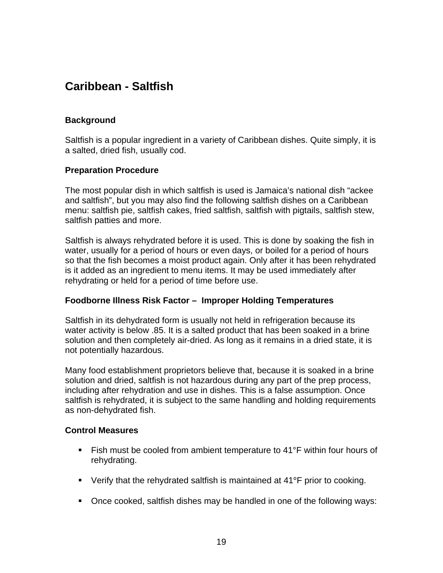# **Caribbean - Saltfish**

### **Background**

Saltfish is a popular ingredient in a variety of Caribbean dishes. Quite simply, it is a salted, dried fish, usually cod.

#### **Preparation Procedure**

The most popular dish in which saltfish is used is Jamaica's national dish "ackee and saltfish", but you may also find the following saltfish dishes on a Caribbean menu: saltfish pie, saltfish cakes, fried saltfish, saltfish with pigtails, saltfish stew, saltfish patties and more.

Saltfish is always rehydrated before it is used. This is done by soaking the fish in water, usually for a period of hours or even days, or boiled for a period of hours so that the fish becomes a moist product again. Only after it has been rehydrated is it added as an ingredient to menu items. It may be used immediately after rehydrating or held for a period of time before use.

#### **Foodborne Illness Risk Factor – Improper Holding Temperatures**

Saltfish in its dehydrated form is usually not held in refrigeration because its water activity is below .85. It is a salted product that has been soaked in a brine solution and then completely air-dried. As long as it remains in a dried state, it is not potentially hazardous.

Many food establishment proprietors believe that, because it is soaked in a brine solution and dried, saltfish is not hazardous during any part of the prep process, including after rehydration and use in dishes. This is a false assumption. Once saltfish is rehydrated, it is subject to the same handling and holding requirements as non-dehydrated fish.

- Fish must be cooled from ambient temperature to 41°F within four hours of rehydrating.
- Verify that the rehydrated saltfish is maintained at 41°F prior to cooking.
- Once cooked, saltfish dishes may be handled in one of the following ways: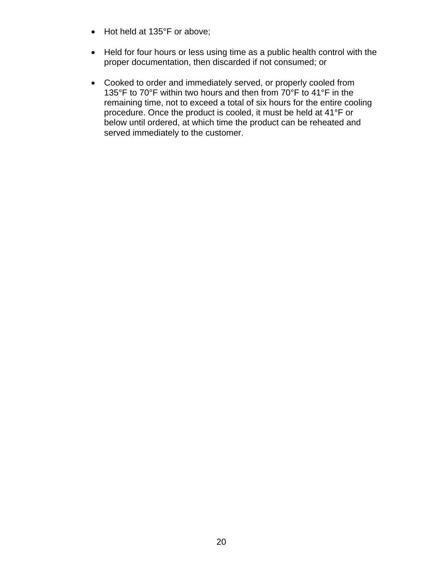- Hot held at 135°F or above;
- Held for four hours or less using time as a public health control with the proper documentation, then discarded if not consumed; or
- Cooked to order and immediately served, or properly cooled from 135°F to 70°F within two hours and then from 70°F to 41°F in the remaining time, not to exceed a total of six hours for the entire cooling procedure. Once the product is cooled, it must be held at 41°F or below until ordered, at which time the product can be reheated and served immediately to the customer.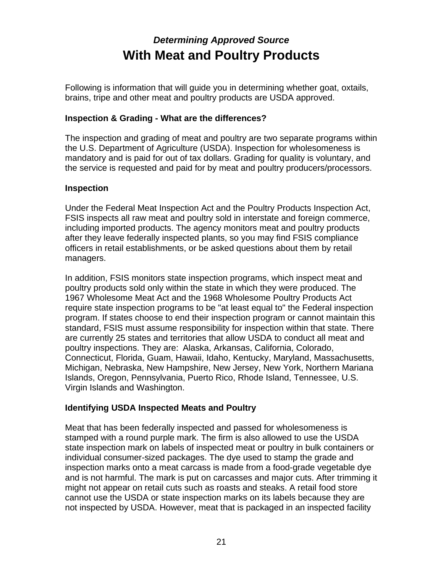# *Determining Approved Source*  **With Meat and Poultry Products**

Following is information that will guide you in determining whether goat, oxtails, brains, tripe and other meat and poultry products are USDA approved.

# **Inspection & Grading - What are the differences?**

The inspection and grading of meat and poultry are two separate programs within the U.S. Department of Agriculture (USDA). Inspection for wholesomeness is mandatory and is paid for out of tax dollars. Grading for quality is voluntary, and the service is requested and paid for by meat and poultry producers/processors.

### **Inspection**

Under the Federal Meat Inspection Act and the Poultry Products Inspection Act, FSIS inspects all raw meat and poultry sold in interstate and foreign commerce, including imported products. The agency monitors meat and poultry products after they leave federally inspected plants, so you may find FSIS compliance officers in retail establishments, or be asked questions about them by retail managers.

In addition, FSIS monitors state inspection programs, which inspect meat and poultry products sold only within the state in which they were produced. The 1967 Wholesome Meat Act and the 1968 Wholesome Poultry Products Act require state inspection programs to be "at least equal to" the Federal inspection program. If states choose to end their inspection program or cannot maintain this standard, FSIS must assume responsibility for inspection within that state. There are currently 25 states and territories that allow USDA to conduct all meat and poultry inspections. They are: Alaska, Arkansas, California, Colorado, Connecticut, Florida, Guam, Hawaii, Idaho, Kentucky, Maryland, Massachusetts, Michigan, Nebraska, New Hampshire, New Jersey, New York, Northern Mariana Islands, Oregon, Pennsylvania, Puerto Rico, Rhode Island, Tennessee, U.S. Virgin Islands and Washington.

# **Identifying USDA Inspected Meats and Poultry**

Meat that has been federally inspected and passed for wholesomeness is stamped with a round purple mark. The firm is also allowed to use the USDA state inspection mark on labels of inspected meat or poultry in bulk containers or individual consumer-sized packages. The dye used to stamp the grade and inspection marks onto a meat carcass is made from a food-grade vegetable dye and is not harmful. The mark is put on carcasses and major cuts. After trimming it might not appear on retail cuts such as roasts and steaks. A retail food store cannot use the USDA or state inspection marks on its labels because they are not inspected by USDA. However, meat that is packaged in an inspected facility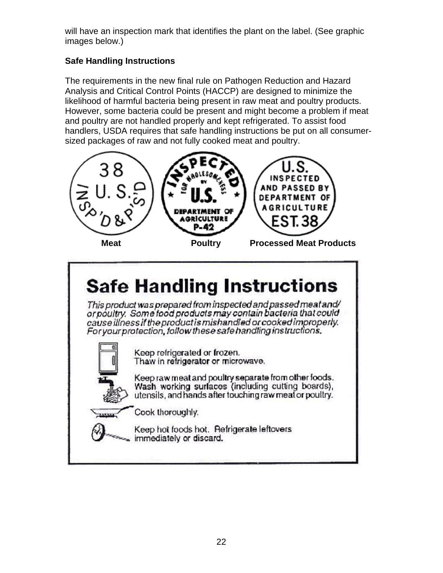will have an inspection mark that identifies the plant on the label. (See graphic images below.)

# **Safe Handling Instructions**

The requirements in the new final rule on Pathogen Reduction and Hazard Analysis and Critical Control Points (HACCP) are designed to minimize the likelihood of harmful bacteria being present in raw meat and poultry products. However, some bacteria could be present and might become a problem if meat and poultry are not handled properly and kept refrigerated. To assist food handlers, USDA requires that safe handling instructions be put on all consumersized packages of raw and not fully cooked meat and poultry.



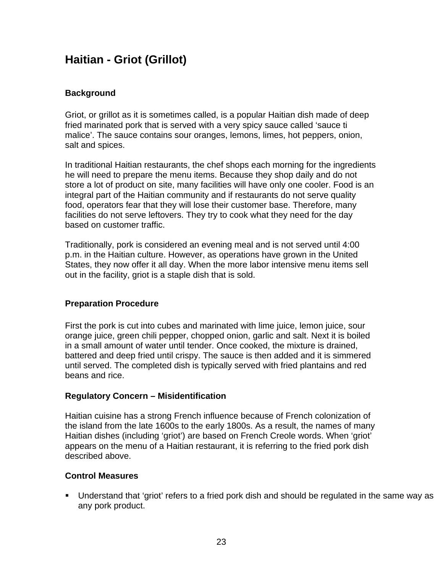# **Haitian - Griot (Grillot)**

# **Background**

Griot, or grillot as it is sometimes called, is a popular Haitian dish made of deep fried marinated pork that is served with a very spicy sauce called 'sauce ti malice'. The sauce contains sour oranges, lemons, limes, hot peppers, onion, salt and spices.

In traditional Haitian restaurants, the chef shops each morning for the ingredients he will need to prepare the menu items. Because they shop daily and do not store a lot of product on site, many facilities will have only one cooler. Food is an integral part of the Haitian community and if restaurants do not serve quality food, operators fear that they will lose their customer base. Therefore, many facilities do not serve leftovers. They try to cook what they need for the day based on customer traffic.

Traditionally, pork is considered an evening meal and is not served until 4:00 p.m. in the Haitian culture. However, as operations have grown in the United States, they now offer it all day. When the more labor intensive menu items sell out in the facility, griot is a staple dish that is sold.

# **Preparation Procedure**

First the pork is cut into cubes and marinated with lime juice, lemon juice, sour orange juice, green chili pepper, chopped onion, garlic and salt. Next it is boiled in a small amount of water until tender. Once cooked, the mixture is drained, battered and deep fried until crispy. The sauce is then added and it is simmered until served. The completed dish is typically served with fried plantains and red beans and rice.

# **Regulatory Concern – Misidentification**

Haitian cuisine has a strong French influence because of French colonization of the island from the late 1600s to the early 1800s. As a result, the names of many Haitian dishes (including 'griot') are based on French Creole words. When 'griot' appears on the menu of a Haitian restaurant, it is referring to the fried pork dish described above.

# **Control Measures**

 Understand that 'griot' refers to a fried pork dish and should be regulated in the same way as any pork product.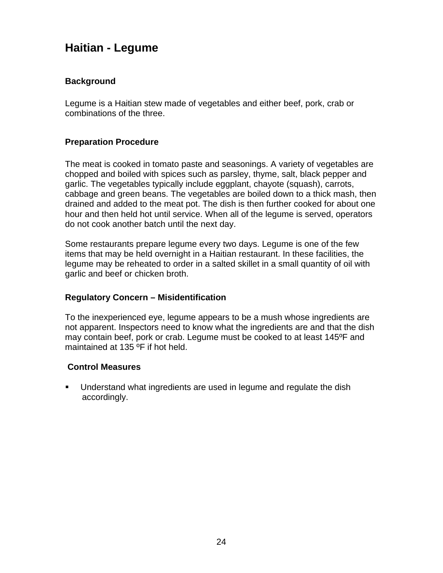# **Haitian - Legume**

# **Background**

Legume is a Haitian stew made of vegetables and either beef, pork, crab or combinations of the three.

### **Preparation Procedure**

The meat is cooked in tomato paste and seasonings. A variety of vegetables are chopped and boiled with spices such as parsley, thyme, salt, black pepper and garlic. The vegetables typically include eggplant, chayote (squash), carrots, cabbage and green beans. The vegetables are boiled down to a thick mash, then drained and added to the meat pot. The dish is then further cooked for about one hour and then held hot until service. When all of the legume is served, operators do not cook another batch until the next day.

Some restaurants prepare legume every two days. Legume is one of the few items that may be held overnight in a Haitian restaurant. In these facilities, the legume may be reheated to order in a salted skillet in a small quantity of oil with garlic and beef or chicken broth.

#### **Regulatory Concern – Misidentification**

To the inexperienced eye, legume appears to be a mush whose ingredients are not apparent. Inspectors need to know what the ingredients are and that the dish may contain beef, pork or crab. Legume must be cooked to at least 145ºF and maintained at 135 ºF if hot held.

#### **Control Measures**

 Understand what ingredients are used in legume and regulate the dish accordingly.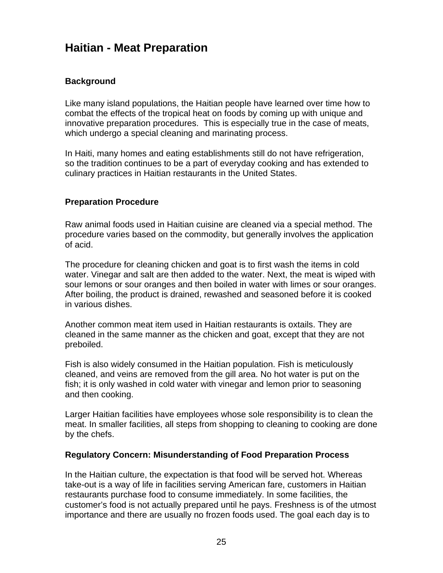# **Haitian - Meat Preparation**

### **Background**

Like many island populations, the Haitian people have learned over time how to combat the effects of the tropical heat on foods by coming up with unique and innovative preparation procedures. This is especially true in the case of meats, which undergo a special cleaning and marinating process.

In Haiti, many homes and eating establishments still do not have refrigeration, so the tradition continues to be a part of everyday cooking and has extended to culinary practices in Haitian restaurants in the United States.

#### **Preparation Procedure**

Raw animal foods used in Haitian cuisine are cleaned via a special method. The procedure varies based on the commodity, but generally involves the application of acid.

The procedure for cleaning chicken and goat is to first wash the items in cold water. Vinegar and salt are then added to the water. Next, the meat is wiped with sour lemons or sour oranges and then boiled in water with limes or sour oranges. After boiling, the product is drained, rewashed and seasoned before it is cooked in various dishes.

Another common meat item used in Haitian restaurants is oxtails. They are cleaned in the same manner as the chicken and goat, except that they are not preboiled.

Fish is also widely consumed in the Haitian population. Fish is meticulously cleaned, and veins are removed from the gill area. No hot water is put on the fish; it is only washed in cold water with vinegar and lemon prior to seasoning and then cooking.

Larger Haitian facilities have employees whose sole responsibility is to clean the meat. In smaller facilities, all steps from shopping to cleaning to cooking are done by the chefs.

#### **Regulatory Concern: Misunderstanding of Food Preparation Process**

In the Haitian culture, the expectation is that food will be served hot. Whereas take-out is a way of life in facilities serving American fare, customers in Haitian restaurants purchase food to consume immediately. In some facilities, the customer's food is not actually prepared until he pays. Freshness is of the utmost importance and there are usually no frozen foods used. The goal each day is to